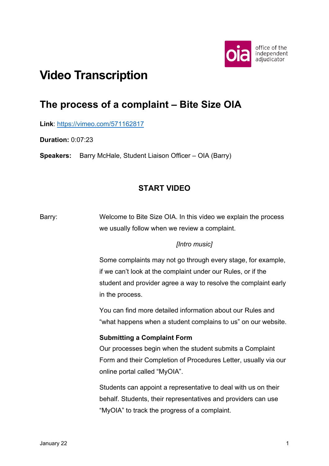

# **Video Transcription**

## **The process of a complaint – Bite Size OIA**

**Link**:<https://vimeo.com/571162817>

**Duration:** 0:07:23

**Speakers:** Barry McHale, Student Liaison Officer – OIA (Barry)

## **START VIDEO**

Barry: Welcome to Bite Size OIA. In this video we explain the process we usually follow when we review a complaint.

#### *[Intro music]*

Some complaints may not go through every stage, for example, if we can't look at the complaint under our Rules, or if the student and provider agree a way to resolve the complaint early in the process.

You can find more detailed information about our Rules and "what happens when a student complains to us" on our website.

#### **Submitting a Complaint Form**

Our processes begin when the student submits a Complaint Form and their Completion of Procedures Letter, usually via our online portal called "MyOIA".

Students can appoint a representative to deal with us on their behalf. Students, their representatives and providers can use "MyOIA" to track the progress of a complaint.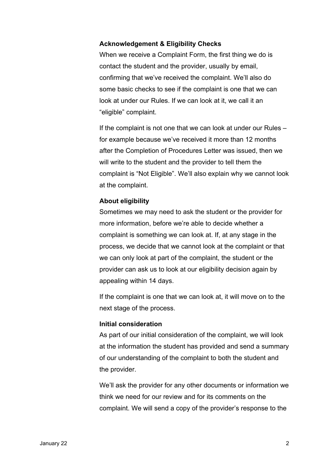#### **Acknowledgement & Eligibility Checks**

When we receive a Complaint Form, the first thing we do is contact the student and the provider, usually by email, confirming that we've received the complaint. We'll also do some basic checks to see if the complaint is one that we can look at under our Rules. If we can look at it, we call it an "eligible" complaint.

If the complaint is not one that we can look at under our Rules – for example because we've received it more than 12 months after the Completion of Procedures Letter was issued, then we will write to the student and the provider to tell them the complaint is "Not Eligible". We'll also explain why we cannot look at the complaint.

#### **About eligibility**

Sometimes we may need to ask the student or the provider for more information, before we're able to decide whether a complaint is something we can look at. If, at any stage in the process, we decide that we cannot look at the complaint or that we can only look at part of the complaint, the student or the provider can ask us to look at our eligibility decision again by appealing within 14 days.

If the complaint is one that we can look at, it will move on to the next stage of the process.

#### **Initial consideration**

As part of our initial consideration of the complaint, we will look at the information the student has provided and send a summary of our understanding of the complaint to both the student and the provider.

We'll ask the provider for any other documents or information we think we need for our review and for its comments on the complaint. We will send a copy of the provider's response to the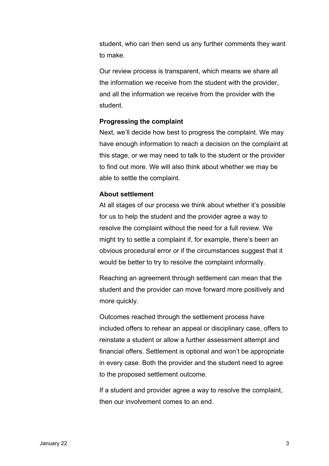student, who can then send us any further comments they want to make.

Our review process is transparent, which means we share all the information we receive from the student with the provider, and all the information we receive from the provider with the student.

#### **Progressing the complaint**

Next, we'll decide how best to progress the complaint. We may have enough information to reach a decision on the complaint at this stage, or we may need to talk to the student or the provider to find out more. We will also think about whether we may be able to settle the complaint.

#### **About settlement**

At all stages of our process we think about whether it's possible for us to help the student and the provider agree a way to resolve the complaint without the need for a full review. We might try to settle a complaint if, for example, there's been an obvious procedural error or if the circumstances suggest that it would be better to try to resolve the complaint informally.

Reaching an agreement through settlement can mean that the student and the provider can move forward more positively and more quickly.

Outcomes reached through the settlement process have included offers to rehear an appeal or disciplinary case, offers to reinstate a student or allow a further assessment attempt and financial offers. Settlement is optional and won't be appropriate in every case. Both the provider and the student need to agree to the proposed settlement outcome.

If a student and provider agree a way to resolve the complaint, then our involvement comes to an end.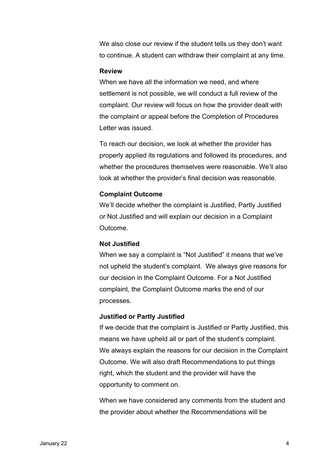We also close our review if the student tells us they don't want to continue. A student can withdraw their complaint at any time.

#### **Review**

When we have all the information we need, and where settlement is not possible, we will conduct a full review of the complaint. Our review will focus on how the provider dealt with the complaint or appeal before the Completion of Procedures Letter was issued.

To reach our decision, we look at whether the provider has properly applied its regulations and followed its procedures, and whether the procedures themselves were reasonable. We'll also look at whether the provider's final decision was reasonable.

#### **Complaint Outcome**

We'll decide whether the complaint is Justified, Partly Justified or Not Justified and will explain our decision in a Complaint Outcome.

#### **Not Justified**

When we say a complaint is "Not Justified" it means that we've not upheld the student's complaint. We always give reasons for our decision in the Complaint Outcome. For a Not Justified complaint, the Complaint Outcome marks the end of our processes.

#### **Justified or Partly Justified**

If we decide that the complaint is Justified or Partly Justified, this means we have upheld all or part of the student's complaint. We always explain the reasons for our decision in the Complaint Outcome. We will also draft Recommendations to put things right, which the student and the provider will have the opportunity to comment on.

When we have considered any comments from the student and the provider about whether the Recommendations will be